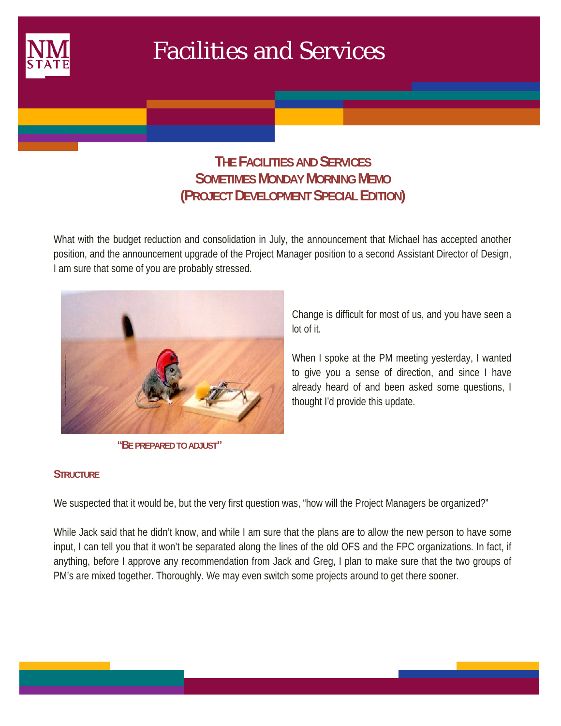

 $\mathcal{L}(\mathcal{L})$ 

# Facilities and Services

## **THE FACILITIES AND SERVICES SOMETIMES MONDAY MORNING MEMO (PROJECT DEVELOPMENT SPECIAL EDITION)**

What with the budget reduction and consolidation in July, the announcement that Michael has accepted another position, and the announcement upgrade of the Project Manager position to a second Assistant Director of Design, I am sure that some of you are probably stressed.



 **"BE PREPARED TO ADJUST"** 

Change is difficult for most of us, and you have seen a lot of it.

When I spoke at the PM meeting yesterday, I wanted to give you a sense of direction, and since I have already heard of and been asked some questions, I thought I'd provide this update.

## **STRUCTURE**

We suspected that it would be, but the very first question was, "how will the Project Managers be organized?"

While Jack said that he didn't know, and while I am sure that the plans are to allow the new person to have some input, I can tell you that it won't be separated along the lines of the old OFS and the FPC organizations. In fact, if anything, before I approve any recommendation from Jack and Greg, I plan to make sure that the two groups of PM's are mixed together. Thoroughly. We may even switch some projects around to get there sooner.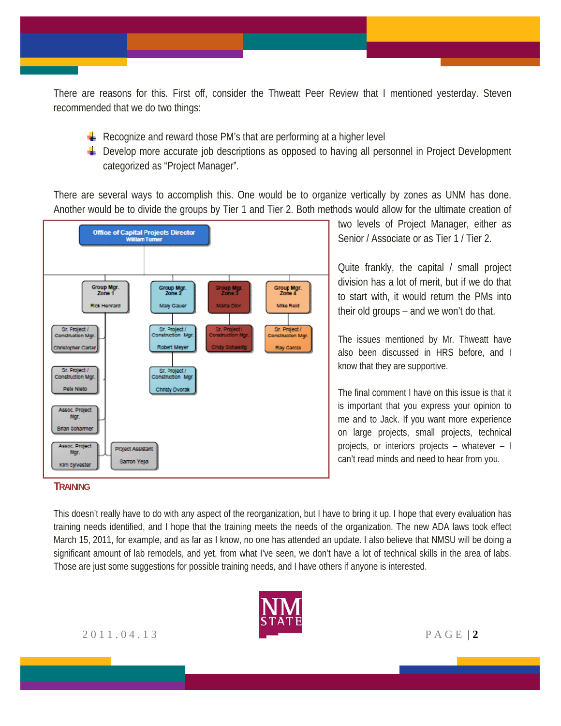There are reasons for this. First off, consider the Thweatt Peer Review that I mentioned yesterday. Steven recommended that we do two things:

- Recognize and reward those PM's that are performing at a higher level
- $\pm$  Develop more accurate job descriptions as opposed to having all personnel in Project Development categorized as "Project Manager".

There are several ways to accomplish this. One would be to organize vertically by zones as UNM has done. Another would be to divide the groups by Tier 1 and Tier 2. Both methods would allow for the ultimate creation of



## two levels of Project Manager, either as Senior / Associate or as Tier 1 / Tier 2.

Quite frankly, the capital / small project division has a lot of merit, but if we do that to start with, it would return the PMs into their old groups – and we won't do that.

The issues mentioned by Mr. Thweatt have also been discussed in HRS before, and I know that they are supportive.

The final comment I have on this issue is that it is important that you express your opinion to me and to Jack. If you want more experience on large projects, small projects, technical projects, or interiors projects – whatever – I can't read minds and need to hear from you.

### **TRAINING**

This doesn't really have to do with any aspect of the reorganization, but I have to bring it up. I hope that every evaluation has training needs identified, and I hope that the training meets the needs of the organization. The new ADA laws took effect March 15, 2011, for example, and as far as I know, no one has attended an update. I also believe that NMSU will be doing a significant amount of lab remodels, and yet, from what I've seen, we don't have a lot of technical skills in the area of labs. Those are just some suggestions for possible training needs, and I have others if anyone is interested.